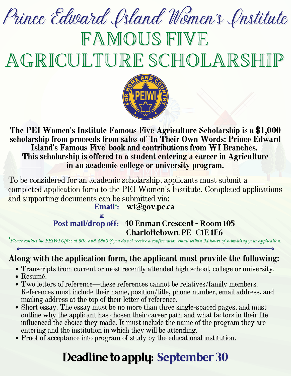# FAMOUS FIVE Prince Edward Island Women's Institute

AGRICULTURE SCHOLARSHIP



#### The PEI Women's Institute Famous Five Agriculture Scholarship is a \$1,000 scholarship from proceeds from sales of 'In Their Own Words: Prince Edward Island's Famous Five' book and contributions from WI Branches. This scholarship is offered to a student entering a career in Agriculture in an academic college or university program.

**Email\*:** wi@gov.pe.ca To be considered for an academic scholarship, applicants must submit a completed application form to the PEI Women's Institute. Completed applications and supporting documents can be submitted via:

#### or **Post mail/drop off:** 40 Enman Crescent - Room 105 Charlottetown, PE C1E 1E6

**\***Please contact the PEIWI Office at 902-368-4860 if you do not receive <sup>a</sup> confirmation email within <sup>24</sup> hours of submitting your application.

### Along with the application form, the applicant must provide the following:

- Transcripts from current or most recently attended high school, college or university.
- Resumé.
- Two letters of reference—these references cannot be relatives/family members. References must include their name, position/title, phone number, email address, and mailing address at the top of their letter of reference.
- Short essay. The essay must be no more than three single-spaced pages, and must outline why the applicant has chosen their career path and what factors in their life influenced the choice they made. It must include the name of the program they are entering and the institution in which they will be attending.
- Proof of acceptance into program of study by the educational institution.

## **Deadline to apply: September 30**